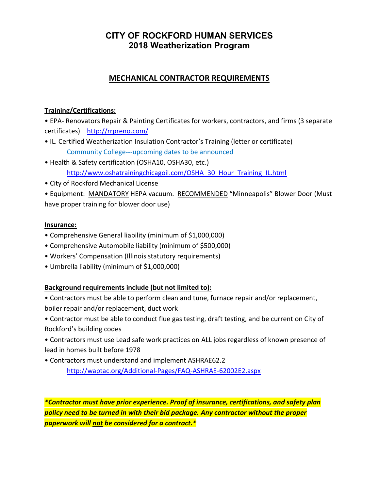# CITY OF ROCKFORD HUMAN SERVICES 2018 Weatherization Program

## MECHANICAL CONTRACTOR REQUIREMENTS

### Training/Certifications:

• EPA- Renovators Repair & Painting Certificates for workers, contractors, and firms (3 separate certificates) http://rrpreno.com/

- IL. Certified Weatherization Insulation Contractor's Training (letter or certificate) Community College---upcoming dates to be announced
- Health & Safety certification (OSHA10, OSHA30, etc.) http://www.oshatrainingchicagoil.com/OSHA\_30\_Hour\_Training\_IL.html
- City of Rockford Mechanical License

• Equipment: MANDATORY HEPA vacuum. RECOMMENDED "Minneapolis" Blower Door (Must have proper training for blower door use)

#### Insurance:

- Comprehensive General liability (minimum of \$1,000,000)
- Comprehensive Automobile liability (minimum of \$500,000)
- Workers' Compensation (Illinois statutory requirements)
- Umbrella liability (minimum of \$1,000,000)

### Background requirements include (but not limited to):

• Contractors must be able to perform clean and tune, furnace repair and/or replacement, boiler repair and/or replacement, duct work

• Contractor must be able to conduct flue gas testing, draft testing, and be current on City of Rockford's building codes

• Contractors must use Lead safe work practices on ALL jobs regardless of known presence of lead in homes built before 1978

• Contractors must understand and implement ASHRAE62.2 http://waptac.org/Additional-Pages/FAQ-ASHRAE-62002E2.aspx

\*Contractor must have prior experience. Proof of insurance, certifications, and safety plan policy need to be turned in with their bid package. Any contractor without the proper paperwork will not be considered for a contract.\*